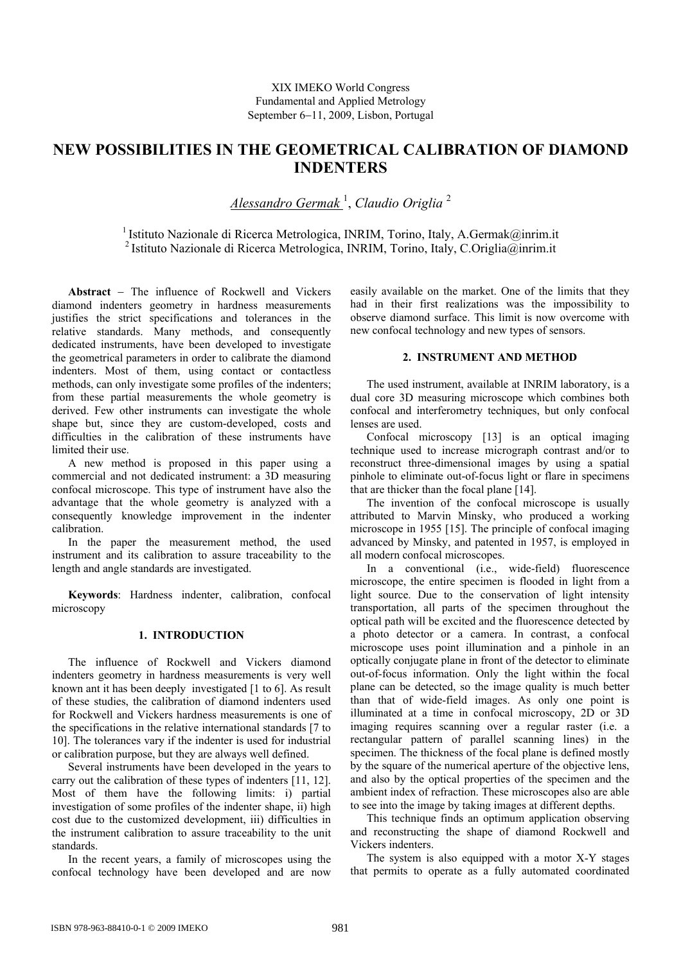# **NEW POSSIBILITIES IN THE GEOMETRICAL CALIBRATION OF DIAMOND INDENTERS**

*Alessandro Germak* <sup>1</sup> , *Claudio Origlia* <sup>2</sup>

<sup>1</sup> Istituto Nazionale di Ricerca Metrologica, INRIM, Torino, Italy, A.Germak@inrim.it 2 Istituto Nazionale di Ricerca Metrologica, INRIM, Torino, Italy, C.Origlia@inrim.it

**Abstract** − The influence of Rockwell and Vickers diamond indenters geometry in hardness measurements justifies the strict specifications and tolerances in the relative standards. Many methods, and consequently dedicated instruments, have been developed to investigate the geometrical parameters in order to calibrate the diamond indenters. Most of them, using contact or contactless methods, can only investigate some profiles of the indenters; from these partial measurements the whole geometry is derived. Few other instruments can investigate the whole shape but, since they are custom-developed, costs and difficulties in the calibration of these instruments have limited their use.

A new method is proposed in this paper using a commercial and not dedicated instrument: a 3D measuring confocal microscope. This type of instrument have also the advantage that the whole geometry is analyzed with a consequently knowledge improvement in the indenter calibration.

In the paper the measurement method, the used instrument and its calibration to assure traceability to the length and angle standards are investigated.

**Keywords**: Hardness indenter, calibration, confocal microscopy

## **1. INTRODUCTION**

The influence of Rockwell and Vickers diamond indenters geometry in hardness measurements is very well known ant it has been deeply investigated [1 to 6]. As result of these studies, the calibration of diamond indenters used for Rockwell and Vickers hardness measurements is one of the specifications in the relative international standards [7 to 10]. The tolerances vary if the indenter is used for industrial or calibration purpose, but they are always well defined.

Several instruments have been developed in the years to carry out the calibration of these types of indenters [11, 12]. Most of them have the following limits: i) partial investigation of some profiles of the indenter shape, ii) high cost due to the customized development, iii) difficulties in the instrument calibration to assure traceability to the unit standards.

In the recent years, a family of microscopes using the confocal technology have been developed and are now easily available on the market. One of the limits that they had in their first realizations was the impossibility to observe diamond surface. This limit is now overcome with new confocal technology and new types of sensors.

## **2. INSTRUMENT AND METHOD**

The used instrument, available at INRIM laboratory, is a dual core 3D measuring microscope which combines both confocal and interferometry techniques, but only confocal lenses are used.

Confocal microscopy [13] is an optical imaging technique used to increase micrograph contrast and/or to reconstruct three-dimensional images by using a spatial pinhole to eliminate out-of-focus light or flare in specimens that are thicker than the focal plane [14].

The invention of the confocal microscope is usually attributed to Marvin Minsky, who produced a working microscope in 1955 [15]. The principle of confocal imaging advanced by Minsky, and patented in 1957, is employed in all modern confocal microscopes.

In a conventional (i.e., wide-field) fluorescence microscope, the entire specimen is flooded in light from a light source. Due to the conservation of light intensity transportation, all parts of the specimen throughout the optical path will be excited and the fluorescence detected by a photo detector or a camera. In contrast, a confocal microscope uses point illumination and a pinhole in an optically conjugate plane in front of the detector to eliminate out-of-focus information. Only the light within the focal plane can be detected, so the image quality is much better than that of wide-field images. As only one point is illuminated at a time in confocal microscopy, 2D or 3D imaging requires scanning over a regular raster (i.e. a rectangular pattern of parallel scanning lines) in the specimen. The thickness of the focal plane is defined mostly by the square of the numerical aperture of the objective lens, and also by the optical properties of the specimen and the ambient index of refraction. These microscopes also are able to see into the image by taking images at different depths.

This technique finds an optimum application observing and reconstructing the shape of diamond Rockwell and Vickers indenters.

The system is also equipped with a motor X-Y stages that permits to operate as a fully automated coordinated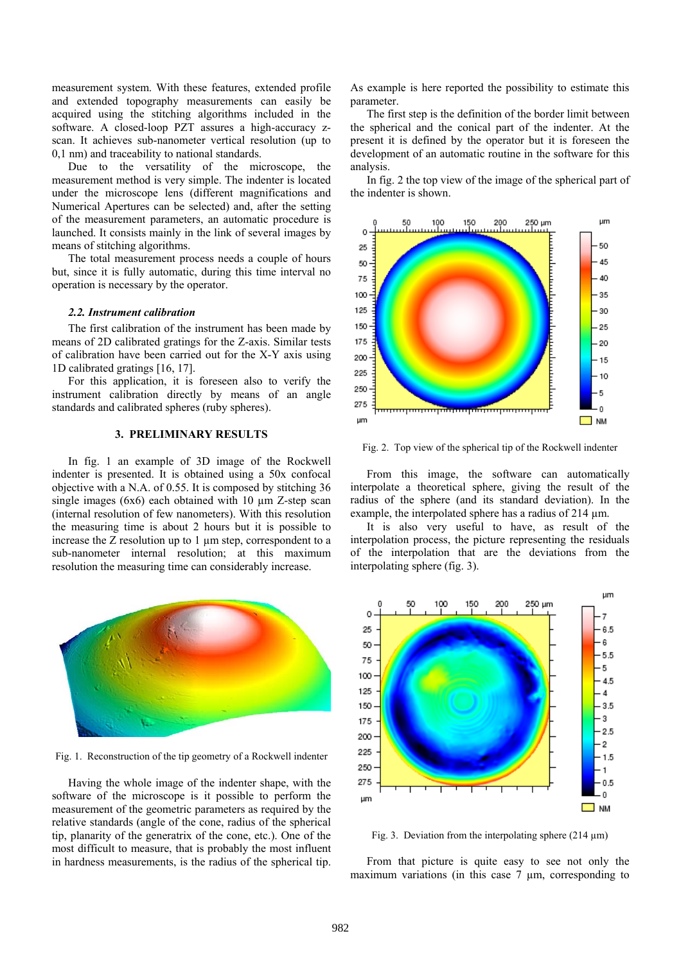measurement system. With these features, extended profile and extended topography measurements can easily be acquired using the stitching algorithms included in the software. A closed-loop PZT assures a high-accuracy zscan. It achieves sub-nanometer vertical resolution (up to 0,1 nm) and traceability to national standards.

Due to the versatility of the microscope, the measurement method is very simple. The indenter is located under the microscope lens (different magnifications and Numerical Apertures can be selected) and, after the setting of the measurement parameters, an automatic procedure is launched. It consists mainly in the link of several images by means of stitching algorithms.

The total measurement process needs a couple of hours but, since it is fully automatic, during this time interval no operation is necessary by the operator.

#### *2.2. Instrument calibration*

The first calibration of the instrument has been made by means of 2D calibrated gratings for the Z-axis. Similar tests of calibration have been carried out for the X-Y axis using 1D calibrated gratings [16, 17].

For this application, it is foreseen also to verify the instrument calibration directly by means of an angle standards and calibrated spheres (ruby spheres).

## **3. PRELIMINARY RESULTS**

In fig. 1 an example of 3D image of the Rockwell indenter is presented. It is obtained using a 50x confocal objective with a N.A. of 0.55. It is composed by stitching 36 single images  $(6x6)$  each obtained with 10  $\mu$ m Z-step scan (internal resolution of few nanometers). With this resolution the measuring time is about 2 hours but it is possible to increase the  $Z$  resolution up to  $1 \mu m$  step, correspondent to a sub-nanometer internal resolution; at this maximum resolution the measuring time can considerably increase.



Fig. 1. Reconstruction of the tip geometry of a Rockwell indenter

Having the whole image of the indenter shape, with the software of the microscope is it possible to perform the measurement of the geometric parameters as required by the relative standards (angle of the cone, radius of the spherical tip, planarity of the generatrix of the cone, etc.). One of the most difficult to measure, that is probably the most influent in hardness measurements, is the radius of the spherical tip. As example is here reported the possibility to estimate this parameter.

The first step is the definition of the border limit between the spherical and the conical part of the indenter. At the present it is defined by the operator but it is foreseen the development of an automatic routine in the software for this analysis.

In fig. 2 the top view of the image of the spherical part of the indenter is shown.



Fig. 2. Top view of the spherical tip of the Rockwell indenter

From this image, the software can automatically interpolate a theoretical sphere, giving the result of the radius of the sphere (and its standard deviation). In the example, the interpolated sphere has a radius of 214  $\mu$ m.

It is also very useful to have, as result of the interpolation process, the picture representing the residuals of the interpolation that are the deviations from the interpolating sphere (fig. 3).



Fig. 3. Deviation from the interpolating sphere  $(214 \text{ µm})$ 

From that picture is quite easy to see not only the maximum variations (in this case  $7 \mu m$ , corresponding to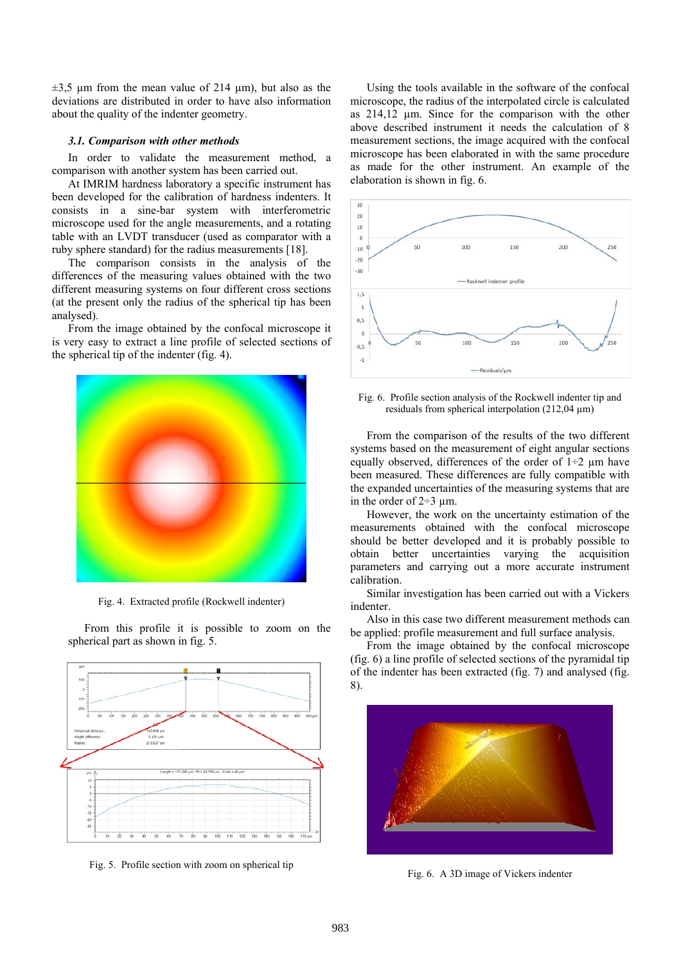$\pm 3.5$  µm from the mean value of 214 µm), but also as the deviations are distributed in order to have also information about the quality of the indenter geometry.

### *3.1. Comparison with other methods*

In order to validate the measurement method, a comparison with another system has been carried out.

At IMRIM hardness laboratory a specific instrument has been developed for the calibration of hardness indenters. It consists in a sine-bar system with interferometric microscope used for the angle measurements, and a rotating table with an LVDT transducer (used as comparator with a ruby sphere standard) for the radius measurements [18].

The comparison consists in the analysis of the differences of the measuring values obtained with the two different measuring systems on four different cross sections (at the present only the radius of the spherical tip has been analysed).

From the image obtained by the confocal microscope it is very easy to extract a line profile of selected sections of the spherical tip of the indenter (fig. 4).



Fig. 4. Extracted profile (Rockwell indenter)

From this profile it is possible to zoom on the spherical part as shown in fig. 5.



Fig. 5. Profile section with zoom on spherical tip

Using the tools available in the software of the confocal microscope, the radius of the interpolated circle is calculated as 214,12 µm. Since for the comparison with the other above described instrument it needs the calculation of 8 measurement sections, the image acquired with the confocal microscope has been elaborated in with the same procedure as made for the other instrument. An example of the elaboration is shown in fig. 6.



Fig. 6. Profile section analysis of the Rockwell indenter tip and residuals from spherical interpolation  $(212.04 \,\mu m)$ 

From the comparison of the results of the two different systems based on the measurement of eight angular sections equally observed, differences of the order of  $1\div 2$  µm have been measured. These differences are fully compatible with the expanded uncertainties of the measuring systems that are in the order of  $2\div 3$  µm.

However, the work on the uncertainty estimation of the measurements obtained with the confocal microscope should be better developed and it is probably possible to obtain better uncertainties varying the acquisition parameters and carrying out a more accurate instrument calibration.

Similar investigation has been carried out with a Vickers indenter.

Also in this case two different measurement methods can be applied: profile measurement and full surface analysis.

From the image obtained by the confocal microscope (fig. 6) a line profile of selected sections of the pyramidal tip of the indenter has been extracted (fig. 7) and analysed (fig. 8).



Fig. 6. A 3D image of Vickers indenter